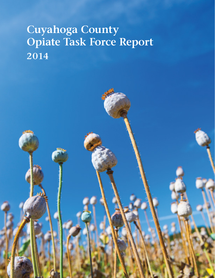# **Cuyahoga County Opiate Task Force Report 2014**

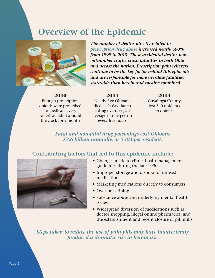## **Overview of the Epidemic**



*The number of deaths directly related to prescription drug abuse increased nearly 500% from 1999 to 2013. These accidental deaths now outnumber traffic crash fatalities in both Ohio and across the nation. Prescription pain relievers continue to be the key factor behind this epidemic and are responsible for more overdose fatalities statewide than heroin and cocaine combined.*

#### **2010**

Enough prescription opioids were prescribed to medicate every American adult around the clock for a month

Nearly five Ohioans died each day due to a drug overdose, an average of one person every five hours

**2011**

#### **2013**

Cuyahoga County lost 340 residents to opioids

#### *Fatal and non-fatal drug poisonings cost Ohioans \$3.6 billion annually, or \$303 per resident.*

## **Contributing factors that led to this epidemic include:**



- Changes made to clinical pain management guidelines during the late 1990s
- Improper storage and disposal of unused medication
- Marketing medications directly to consumers
- Over-prescribing
- Substance abuse and underlying mental health issues
- Widespread diversion of medications such as: doctor shopping, illegal online pharmacies, and the establishment and recent closure of pill mills

*Steps taken to reduce the use of pain pills may have inadvertently produced a dramatic rise in heroin use.*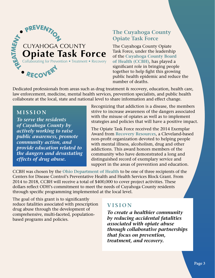

## **The Cuyahoga County Opiate Task Force**

The Cuyahoga County Opiate Task Force, under the leadership of the **Cuyahoga County Board of Health (CCBH)**, has played a significant role in bringing people together to help fight this growing public health epidemic and reduce the number of deaths.

Dedicated professionals from areas such as drug treatment & recovery, education, health care, law enforcement, medicine, mental health services, prevention specialists, and public health collaborate at the local, state and national level to share information and effect change.

## **Missi o n**

*To serve the residents of Cuyahoga County by actively working to raise public awareness, promote community action, and provide education related to the dangers and devastating effects of drug abuse.*

Recognizing that addiction is a disease, the members strive to increase awareness of the dangers associated with the misuse of opiates as well as to implement strategies and policies that will have a positive impact.

The Opiate Task Force received the 2014 Exemplar Award from **Recovery Resources**, a Cleveland-based non-profit organization devoted to helping people with mental illness, alcoholism, drug and other addictions. This award honors members of the community who have demonstrated a long and distinguished record of exemplary service and support in the areas of prevention and education.

CCBH was chosen by the **Ohio Department of Health** to be one of three recipients of the Centers for Disease Control's Preventative Health and Health Services Block Grant. From 2014 to 2018, CCBH will receive a total of \$400,000 to cover project activities. These dollars reflect ODH's commitment to meet the needs of Cuyahoga County residents through specific programming implemented at the local level.

The goal of this grant is to significantly reduce fatalities associated with prescription drug abuse through the development of comprehensive, multi-faceted, populationbased programs and policies.

## **V ISI O N**

*To create a healthier community by reducing accidental fatalities associated with opiate abuse through collaborative partnerships that focus on prevention, treatment, and recovery.*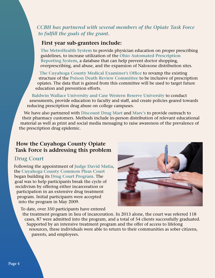## *CCBH has partnered with several members of the Opiate Task Force to fulfill the goals of the grant.*

#### **First year sub-grantees include:**

**The MetroHealth System** to provide physician education on proper prescribing guidelines, to increase utilization of the **Ohio Automated Prescription Reporting System**, a database that can help prevent doctor shopping, overprescribing, and abuse, and the expansion of Naloxone distribution sites.

**The Cuyahoga County Medical Examiner's Office** to revamp the existing structure of the **Poison Death Review Committee** to be inclusive of prescription opiates. The data that is gained from this committee will be used to target future education and prevention efforts.

**Baldwin Wallace University and Case Western Reserve University** to conduct assessments, provide education to faculty and staff, and create policies geared towards reducing prescription drug abuse on college campuses.

We have also partnered with **Discount Drug Mart** and **Marc's** to provide outreach to their pharmacy customers. Methods include in-person distribution of relevant educational material as well as print and social media messaging to raise awareness of the prevalence of the prescription drug epidemic.

## **How the Cuyahoga County Opiate Task Force is addressing this problem**

## **Drug Court**

Following the appointment of **Judge David Matia**, the **Cuyahoga County Common Pleas Court**  began building its **Drug Court Program**. The goal was to help participants break the cycle of recidivism by offering either incarceration or participation in an extensive drug treatment program. Initial participants were accepted into the program in May 2009.



To date, over 350 participants have entered

the treatment program in lieu of incarceration. In 2013 alone, the court was referred 118 cases, 87 were admitted into the program, and a total of 54 clients successfully graduated. Supported by an intensive treatment program and the offer of access to lifelong resources, these individuals were able to return to their communities as sober citizens, parents, and employees.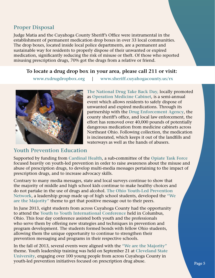## **Proper Disposal**

Judge Matia and the Cuyahoga County Sheriff's Office were instrumental in the establishment of permanent medication drop boxes in over 33 local communities. The drop boxes, located inside local police departments, are a permanent and sustainable way for residents to properly dispose of their unwanted or expired medication, significantly reducing the risk of misuse or theft. Of those who reported misusing prescription drugs, 70% got the drugs from a relative or friend.

#### **To locate a drug drop box in your area, please call 211 or visit:**

**<www.rxdrugdropbox.org>** | **<www.sheriff.cuyahogacounty.us/rx>**



## **Youth Prevention Education**

**The National Drug Take Back Day,** locally promoted as **Operation Medicine Cabinet**, is a semi-annual event which allows residents to safely dispose of unwanted and expired medications. Through its partnership with the **Drug Enforcement Agency**, the county sheriff's office, and local law enforcement, the effort has removed over 40,000 pounds of potentially dangerous medication from medicine cabinets across Northeast Ohio. Following collection, the medication is incinerated, which keeps it out of the landfills and waterways as well as the hands of abusers.

Supported by funding from **Cardinal Health**, a sub-committee of the **Opiate Task Force**  focused heavily on youth-led prevention in order to raise awareness about the misuse and abuse of prescription drugs, to develop multi-media messages pertaining to the impact of prescription drugs, and to increase advocacy skills.

Contrary to many media messages, state and local surveys continue to show that the majority of middle and high school kids continue to make healthy choices and do not partake in the use of drugs and alcohol. **The Ohio Youth-Led Prevention Network**, a leadership group made up of high school students, developed the **"We are the Majority"** theme to get that positive message out to their peers.

In June 2013, eight students from across Cuyahoga County had the opportunity to attend the **Youth to Youth International Conference** held in Columbus, Ohio. This four day conference assisted both youth and the professionals who serve them by offering new strategies and techniques in prevention and program development. The students formed bonds with fellow Ohio students, allowing them the unique opportunity to continue to strengthen their prevention messaging and programs in their respective schools.

In the fall of 2013, several events were aligned with the **"We are the Majority"**  theme. Youth leadership training was held on September 21 at **Cleveland State University**, engaging over 100 young people from across Cuyahoga County in youth-led prevention initiatives focused on prescription drug abuse.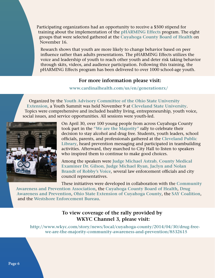Participating organizations had an opportunity to receive a \$500 stipend for training about the implementation of the **pHARMING Effects** program. The eight groups that were selected gathered at the **Cuyahoga County Board of Health** on November 16.

Research shows that youth are more likely to change behavior based on peer influence rather than adults presentations. The pHARMING Effects utilizes the voice and leadership of youth to reach other youth and deter risk taking behavior through skits, videos, and audience participation. Following this training, the pHARMING Effects program has been delivered to over 1000 school-age youth.

#### **For more information please visit:**

**[www.cardinalhealth.com/us/en/generationrx/](www.cardinalhealth.com/us/en/generationrx)**

Organized by the **Youth Advisory Committee of the Ohio State University Extension**, a Youth Summit was held November 9 at **Cleveland State University**. Topics were comprehensive and included healthy living, entrepreneurship, youth voice, social issues, and service opportunities. All sessions were youth-led.



On April 30, over 100 young people from across Cuyahoga County took part in the **"We are the Majority"** rally to celebrate their decision to stay alcohol and drug free. Students, youth leaders, school officials, parents, and professionals gathered at the **Cleveland Public Library**, heard prevention messaging and participated in teambuilding activities. Afterward, they marched to City Hall to listen to speakers who inspired them to continue to make good choices.

Among the speakers were **Judge Michael Astrab, County Medical Examiner Dr. Gilson, Judge Michael Ryan, Jaclyn and Nolan Brandt of Robby's Voice**, several law enforcement officials and city council representatives.

These initiatives were developed in collaboration with the **Community** 

**Awareness and Prevention Association**, the **Cuyahoga County Board of Health**, **Drug Awareness and Prevention**, **Ohio State Extension of Cuyahoga County**, the **SAY Coalition**, and the **Westshore Enforcement Bureau**.

#### **To view coverage of the rally provided by WKYC Channel 3, please visit:**

**[http://www.wkyc.com/story/news/local/cuyahoga-county/2014/04/30/drug-free](http://www.wkyc.com/story/news/local/cuyahoga-county/2014/04/30/drug-free-we-are-the-majority-community-awareness-and-prevention/8532615)[we-are-the-majority-community-awareness-and-prevention/8532615](http://www.wkyc.com/story/news/local/cuyahoga-county/2014/04/30/drug-free-we-are-the-majority-community-awareness-and-prevention/8532615)**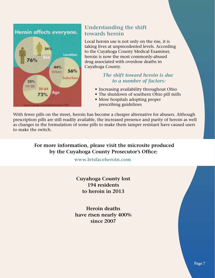

## **Understanding the shift towards heroin**

Local heroin use is not only on the rise, it is taking lives at unprecedented levels. According to the Cuyahoga County Medical Examiner, heroin is now the most commonly-abused drug associated with overdose deaths in Cuyahoga County.

## *The shift toward heroin is due to a number of factors:*

- Increasing availability throughout Ohio
- The shutdown of southern Ohio pill mills
- More hospitals adopting proper prescribing guidelines

With fewer pills on the street, heroin has become a cheaper alternative for abusers. Although prescription pills are still readily available, the increased presence and purity of heroin as well as changes in the formulation of some pills to make them tamper resistant have caused users to make the switch.

> **For more information, please visit the microsite produced by the Cuyahoga County Prosecutor's Office:**

#### **<www.letsfaceheroin.com>**

**Cuyahoga County lost 194 residents to heroin in 2013** 

**Heroin deaths have risen nearly 400% since 2007**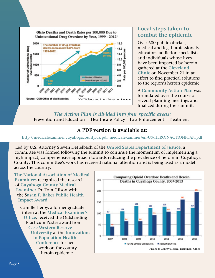

## **Local steps taken to combat the epidemic**

Over 600 public officials, medical and legal professionals, educators, addiction specialists and individuals whose lives have been impacted by heroin gathered at the **Cleveland Clinic** on November 21 in an effort to find practical solutions to the region's heroin epidemic.

A **Community Action Plan** was formulated over the course of several planning meetings and finalized during the summit.

*The Action Plan is divided into four specific areas:*  Prevention and Education | Healthcare Policy | Law Enforcement | Treatment

#### **A PDF version is available at:**

http://medicalexaminer.cuyahogacounty.us/pdf\_medicalexaminer/en-US/HEROINACTIONPLAN.pdf

Led by U.S. Attorney Steven Dettelbach of the **United States Department of Justice**, a committee was formed following the summit to continue the momentum of implementing a high impact, comprehensive approach towards reducing the prevalence of heroin in Cuyahoga County. This committee's work has received national attention and is being used as a model across the country.

**The National Association of Medical Examiners** recognized the research of **Cuyahoga County Medical Examiner** Dr. Tom Gilson with the S**usan P. Baker Public Health Impact Award**.

Camille Herby, a former graduate intern at the **Medical Examiner's Office**, received the Outstanding Practicum Poster award from **Case Western Reserve University** at the **Innovations in Population Health Conference** for her work on the county heroin epidemic.

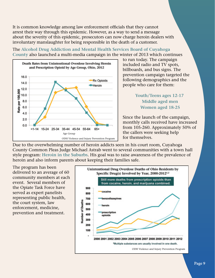It is common knowledge among law enforcement officials that they cannot arrest their way through this epidemic. However, as a way to send a message about the severity of this epidemic, prosecutors can now charge heroin dealers with involuntary manslaughter for being responsible in the death of a customer.

The **Alcohol Drug Addiction and Mental Health Services Board of Cuyahoga County** also launched a multi-media campaign in the winter of 2013 which continues



to run today. The campaign included radio and TV spots, billboards, and bus signs. The prevention campaign targeted the following demographics and the people who care for them:

> **Youth/Teens ages 12-17 Middle aged men Women aged 18-25**

Since the launch of the campaign, monthly calls received have increased from 105-260. Approximately 50% of the callers were seeking help for themselves.

Due to the overwhelming number of heroin addicts seen in his court room, Cuyahoga County Common Pleas Judge Michael Astrab went to several communities with a town hall style program: **Heroin in the Suburbs**. His goal was to raise awareness of the prevalence of heroin and also inform parents about keeping their families safe.

The program has been delivered to an average of 60 community members at each event. Several members of the Opiate Task Force have served as expert panelists representing public health, the court system, law enforcement, medicine, prevention and treatment.

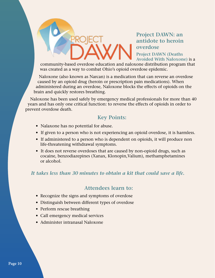**Project DAWN: an antidote to heroin overdose**

**Project DAWN (Deaths Avoided With Naloxone)** is a

community-based overdose education and naloxone distribution program that was created as a way to combat Ohio's opioid overdose epidemic.

Naloxone (also known as Narcan) is a medication that can reverse an overdose caused by an opioid drug (heroin or prescription pain medications). When administered during an overdose, Naloxone blocks the effects of opioids on the brain and quickly restores breathing.

Naloxone has been used safely by emergency medical professionals for more than 40 years and has only one critical function: to reverse the effects of opioids in order to prevent overdose death.

#### **Key Points:**

- Nalaxone has no potential for abuse.
- If given to a person who is not experiencing an opioid overdose, it is harmless.
- If administered to a person who is dependent on opioids, it will produce non life-threatening withdrawal symptoms.
- It does not reverse overdoses that are caused by non-opioid drugs, such as cocaine, benzodiazepines (Xanax, Klonopin,Valium), methamphetamines or alcohol.

*It takes less than 30 minutes to obtain a kit that could save a life.* 

#### **Attendees learn to:**

- Recognize the signs and symptoms of overdose
- Distinguish between different types of overdose
- Perform rescue breathing
- Call emergency medical services
- Administer intranasal Naloxone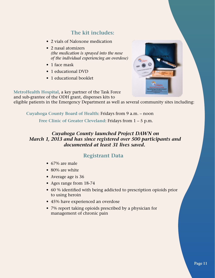## **The kit includes:**

- 2 vials of Naloxone medication
- 2 nasal atomizers *(the medication is sprayed into the nose of the individual experiencing an overdose)*
- 1 face mask
- 1 educational DVD
- 1 educational booklet

**MetroHealth Hospital**, a key partner of the Task Force

and sub-grantee of the ODH grant, dispenses kits to

eligible patients in the Emergency Department as well as several community sites including:

**Cuyahoga County Board of Health**: Fridays from 9 a.m. – noon

 **Free Clinic of Greater Cleveland**: Fridays from 1 – 5 p.m.

#### *Cuyahoga County launched Project DAWN on March 1, 2013 and has since registered over 500 participants and documented at least 31 lives saved.*

## **Registrant Data**

- 67% are male
- 80% are white
- Average age is 36
- Ages range from 18-74
- 60 % identified with being addicted to prescription opioids prior to using heroin
- 45% have experienced an overdose
- 7% report taking opioids prescribed by a physician for management of chronic pain

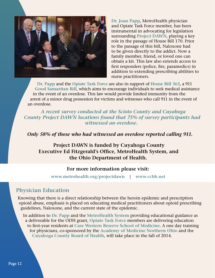

**Dr. Joan Papp**, MetroHealth physician and Opiate Task Force member, has been instrumental in advocating for legislation surrounding **Project DAWN**, playing a key role in the passage of House Bill 170. Prior to the passage of this bill, Naloxone had to be given directly to the addict. Now a family member, friend, or loved one can obtain a kit. This law also extends access to first responders (police, fire, paramedics) in addition to extending prescribing abilities to nurse practitioners.

**Dr. Papp** and the **Opiate Task Force** are also in support of **House Bill 363**, a 911 **Good Samaritan Bill**, which aims to encourage individuals to seek medical assistance in the event of an overdose. This law would provide limited immunity from the arrest of a minor drug possession for victims and witnesses who call 911 in the event of an overdose.

*A recent survey conducted at the Scioto County and Cuyahoga County Project DAWN locations found that 75% of survey participants had witnessed an overdose.* 

*Only 58% of those who had witnessed an overdose reported calling 911.*

**Project DAWN is funded by Cuyahoga County Executive Ed Fitzgerald's Office, MetroHealth System, and the Ohio Department of Health.**

#### **For more information please visit:**

**<www.metrohealth.org/projectdawn>** | **<www.ccbh.net>**

## **Physician Education**

Knowing that there is a direct relationship between the heroin epidemic and prescription opioid abuse, emphasis is placed on educating medical practitioners about opioid prescribing guidelines, Naloxone, and the current state of the epidemic.

In addition to **Dr. Papp** and the **MetroHealth System** providing educational guidance as a deliverable for the ODH grant, **Opiate Task Force** members are delivering education to first-year residents at **Case Western Reserve School of Medicine**. A one day training for physicians, co-sponsored by the **Academy of Medicine Northern Ohio** and the **Cuyahoga County Board of Health**, will take place in the fall of 2014.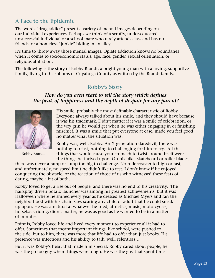## **A Face to the Epidemic**

The words "drug addict" present a variety of mental images depending on our individual experiences. Perhaps we think of a scruffy, under-educated, unsuccessful individual or a school mate who rarely attends class and has no friends, or a homeless "junkie" hiding in an alley.

It's time to throw away those mental images. Opiate addiction knows no boundaries when it comes to socioeconomic status, age, race, gender, sexual orientation, or religious affiliation.

The following is the story of Robby Brandt, a bright young man with a loving, supportive family, living in the suburbs of Cuyahoga County as written by the Brandt family.

## **Robby's Story**

#### *How do you even start to tell the story which defines the peak of happiness and the depth of despair for any parent?*



Robby Brandt

His smile, probably the most definable characteristic of Robby. Everyone always talked about his smile, and they should have because it was his trademark. Didn't matter if it was a smile of celebration, or the wry grin he would get when he was either engaging in or finishing mischief. It was a smile that put everyone at ease, made you feel good no matter what the situation was.

Robby was, well, Robby. An X-generation daredevil, there was nothing too fast, nothing to challenging for him to try. All the things that would cause your stomach to twist around itself were the things he thrived upon. On his bike, skateboard or roller blades,

there was never a ramp or jump too big to challenge. No rollercoaster to high or fast, and unfortunately, no speed limit he didn't like to test. I don't know if he enjoyed conquering the obstacle, or the reaction of those of us who witnessed these feats of daring, maybe a bit of both.

Robby loved to get a rise out of people, and there was no end to his creativity. The hairspray driven potato launcher was among his greatest achievements, but it was Halloween where he shined every year as he dressed as Michael Myers and ran the neighborhood with his chain saw, scaring any child or adult that he could sneak up upon. He was a natural at whatever he tried; athletics, music, motorcycles, horseback riding, didn't matter, he was as good as he wanted to be in a matter of minutes.

Point is, Robby loved life and lived every moment to experience all it had to offer. Sometimes that meant important things, like school, were pushed to the side, but to him, there was more that life had to offer than just books. His presence was infectious and his ability to talk, well, relentless…

But it was Robby's heart that made him special. Robby cared about people; he was the go too guy when things were tough. He was the guy that spent time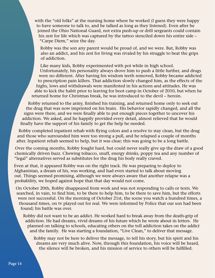with the "old folks" at the nursing home where he worked (I guess they were happy to have someone to talk to, and he talked as long as they listened). Even after he joined the Ohio National Guard, not extra push-up or drill sergeants could contain his zest for life which was captured by the tattoo stenciled down his entire side – "Carpe Diem," seize the day.

Robby was the son any parent would be proud of, and we were. But, Robby was also an addict, and his zest for living was rivaled by his struggle to beat the grips of addiction.

Like many kids, Robby experimented with pot while in high school. Unfortunately, his personality always drove him to push a little further, and drugs were no different. After having his wisdom teeth removed, Robby became addicted to prescription pain killers. That addiction slowly changed him, as the effects of the highs, lows and withdrawals were manifested in his actions and attitudes. He was able to kick the habit prior to leaving for boot camp in October of 2010, but when he returned home for Christmas break, he was introduced to the devil – heroin.

Robby returned to the army, finished his training, and returned home only to seek out the drug that was now imprinted on his brain. His behavior rapidly changed, and all the signs were there, and we were finally able to put enough pieces together to uncover his addiction. We asked, and he happily provided every detail, almost relieved that he would finally have the support of his family to get the help he needed.

Robby completed inpatient rehab with flying colors and a resolve to stay clean, but the drug and those who surrounded him were too strong a pull, and he relapsed a couple of months after. Inpatient rehab seemed to help, but it was clear; this was going to be a long battle.

Over the coming months, Robby fought hard, but could never really give up the draw of a good chemically driven buzz. Chewing tobacco, snuff, energy drinks, poppy tea and any number of "legal" alternatives served as substitutes for the drug his body really craved.

Even at that, it appeared Robby was on the right track. He was preparing to deploy to Afghanistan, a dream of his, was working, and had even started to talk about moving out. Things seemed promising, although we were always aware that another relapse was a probability, we hoped against hope that that day would not come.

On October 20th, Robby disappeared from work and was not responding to calls or texts. We searched, in vain, to find him, to be there to help him, to be there to save him, but the efforts were not successful. On the morning of October 21st, the scene you watch a hundred times, a thousand times, on tv played out for real. We were informed by Police that our son had been found; his battle was over.

Robby did not want to be an addict. He worked hard to break away from the death-grip of addiction. He had dreams, vivid dreams of his future which he wrote about in letters. He planned on talking to schools, educating others on the toll addiction takes on the addict and the family. He was starting a foundation, "Live Clean," to deliver that message.

Robby may not be here to deliver the message, to tell his story, but his spirit and his dreams are very much alive. Now, through this foundation, his voice will be heard, the silence will be broken, and his mission of service to others will be fulfilled.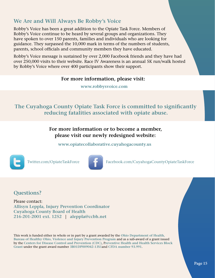## **We Are and Will Always Be Robby's Voice**

Robby's Voice has been a great addition to the Opiate Task Force. Members of Robby's Voice continue to be heard by several groups and organizations. They have spoken to over 150 parents, families and individuals who are looking for guidance. They surpassed the 10,000 mark in terms of the numbers of students, parents, school officials and community members they have educated.

Robby's Voice message is sustained by over 2,000 Facebook friends and they have had over 250,000 visits to their website. Race IV Awareness is an annual 5K run/walk hosted by Robby's Voice where over 400 participants show their support.

#### **For more information, please visit:**

**<www.robbysvoice.com>**

**The Cuyahoga County Opiate Task Force is committed to significantly reducing fatalities associated with opiate abuse.**

## **For more information or to become a member, please visit our newly redesigned website:**

**<www.opiatecollaborative.cuyahogacounty.us>**





[Twitter.com/OpiateTaskForce](http://www.twitter.com/opiatetaskforce) [Facebook.com/CuyahogaCountyOpiateTaskForce](http://www.facebook.com/cuyahogacountyopiatetaskforce)

## **Questions?**

Please contact: **Allisyn Leppla, Injury Prevention Coordinator Cuyahoga County Board of Health 216-201-2001 ext. 1252** | **[aleppla@ccbh.net](mailto:aleppla%40ccbh.net?subject=Cuyahoga%20County%20Opiate%20Task%20Force)**

This work is funded either in whole or in part by a grant awarded by the **Ohio Department of Health, Bureau of Healthy Ohio, Violence and Injury Prevention Program** and as a sub-award of a grant issued by the **Centers for Disease Control and Prevention (CDC)**, P**reventive Health and Health Services Block Grant** under the grant award number **3B01DP009042-13S1**and **CFDA number 93.991**.